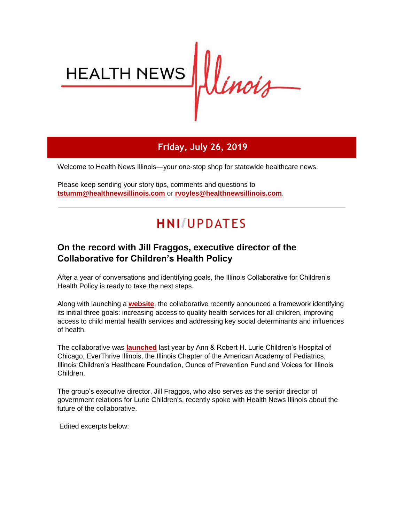

## **Friday, July 26, 2019**

Welcome to Health News Illinois—your one-stop shop for statewide healthcare news.

Please keep sending your story tips, comments and questions to **[tstumm@healthnewsillinois.com](mailto:tstumm@healthnewsillinois.com)** or **[rvoyles@healthnewsillinois.com](mailto:rvoyles@healthnewsillinois.com)**.

# **HNI/UPDATES**

## **On the record with Jill Fraggos, executive director of the Collaborative for Children's Health Policy**

After a year of conversations and identifying goals, the Illinois Collaborative for Children's Health Policy is ready to take the next steps.

Along with launching a **[website](http://r20.rs6.net/tn.jsp?f=001kwe0684505zj6DoGD_Ttqqbs0EbYA8n-ZB1tboF4SOAVpHq53JLmkXL0ftGPVpMJPE5JOZLpxplJ-gjTygwIaN4v7Tg5zoPwA-qzOPDnJSg-SuqRjRDEK3eGuJk4cmS0_cNPARLSlvPWW1mu-hXW5k-hI2DQ4kAtuWElntx3p_dp8rcsigTAGQ==&c=vQkFtlEQiu5J1FcMUxcBTMc80hhIs81im37jMXMzkc5Ru3jJPHfGmA==&ch=PvJFcxcmpJobQwLtC-sRWPBHtUYSFgCHkWr42Iu_WDkdHzbuJ3SsZw==)**, the collaborative recently announced a framework identifying its initial three goals: increasing access to quality health services for all children, improving access to child mental health services and addressing key social determinants and influences of health.

The collaborative was **[launched](http://r20.rs6.net/tn.jsp?f=001kwe0684505zj6DoGD_Ttqqbs0EbYA8n-ZB1tboF4SOAVpHq53JLmkXL0ftGPVpMJoMkB7a4mdvGICdloCq27fcd1wYDyhzY-GQeKOHNVbVQ6agh-rhWvMhwnnitGuMi-e-y9IYul1bm1FwIruAEn3L2AovkfAYsg1tcjTmTn4EIg2mO0yEACBDrad01LvdA6PYMB3AQuicekbzgN-mk5g7k6umuvnB49XXJb7z04MJ9XPDOvdQAbtw==&c=vQkFtlEQiu5J1FcMUxcBTMc80hhIs81im37jMXMzkc5Ru3jJPHfGmA==&ch=PvJFcxcmpJobQwLtC-sRWPBHtUYSFgCHkWr42Iu_WDkdHzbuJ3SsZw==)** last year by Ann & Robert H. Lurie Children's Hospital of Chicago, EverThrive Illinois, the Illinois Chapter of the American Academy of Pediatrics, Illinois Children's Healthcare Foundation, Ounce of Prevention Fund and Voices for Illinois Children.

The group's executive director, Jill Fraggos, who also serves as the senior director of government relations for Lurie Children's, recently spoke with Health News Illinois about the future of the collaborative.

Edited excerpts below: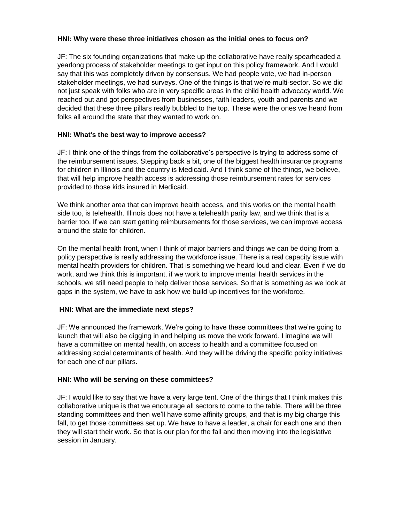#### **HNI: Why were these three initiatives chosen as the initial ones to focus on?**

JF: The six founding organizations that make up the collaborative have really spearheaded a yearlong process of stakeholder meetings to get input on this policy framework. And I would say that this was completely driven by consensus. We had people vote, we had in-person stakeholder meetings, we had surveys. One of the things is that we're multi-sector. So we did not just speak with folks who are in very specific areas in the child health advocacy world. We reached out and got perspectives from businesses, faith leaders, youth and parents and we decided that these three pillars really bubbled to the top. These were the ones we heard from folks all around the state that they wanted to work on.

#### **HNI: What's the best way to improve access?**

JF: I think one of the things from the collaborative's perspective is trying to address some of the reimbursement issues. Stepping back a bit, one of the biggest health insurance programs for children in Illinois and the country is Medicaid. And I think some of the things, we believe, that will help improve health access is addressing those reimbursement rates for services provided to those kids insured in Medicaid.

We think another area that can improve health access, and this works on the mental health side too, is telehealth. Illinois does not have a telehealth parity law, and we think that is a barrier too. If we can start getting reimbursements for those services, we can improve access around the state for children.

On the mental health front, when I think of major barriers and things we can be doing from a policy perspective is really addressing the workforce issue. There is a real capacity issue with mental health providers for children. That is something we heard loud and clear. Even if we do work, and we think this is important, if we work to improve mental health services in the schools, we still need people to help deliver those services. So that is something as we look at gaps in the system, we have to ask how we build up incentives for the workforce.

#### **HNI: What are the immediate next steps?**

JF: We announced the framework. We're going to have these committees that we're going to launch that will also be digging in and helping us move the work forward. I imagine we will have a committee on mental health, on access to health and a committee focused on addressing social determinants of health. And they will be driving the specific policy initiatives for each one of our pillars.

#### **HNI: Who will be serving on these committees?**

JF: I would like to say that we have a very large tent. One of the things that I think makes this collaborative unique is that we encourage all sectors to come to the table. There will be three standing committees and then we'll have some affinity groups, and that is my big charge this fall, to get those committees set up. We have to have a leader, a chair for each one and then they will start their work. So that is our plan for the fall and then moving into the legislative session in January.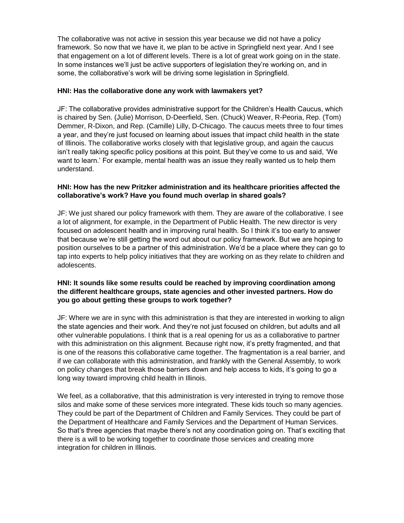The collaborative was not active in session this year because we did not have a policy framework. So now that we have it, we plan to be active in Springfield next year. And I see that engagement on a lot of different levels. There is a lot of great work going on in the state. In some instances we'll just be active supporters of legislation they're working on, and in some, the collaborative's work will be driving some legislation in Springfield.

#### **HNI: Has the collaborative done any work with lawmakers yet?**

JF: The collaborative provides administrative support for the Children's Health Caucus, which is chaired by Sen. (Julie) Morrison, D-Deerfield, Sen. (Chuck) Weaver, R-Peoria, Rep. (Tom) Demmer, R-Dixon, and Rep. (Camille) Lilly, D-Chicago. The caucus meets three to four times a year, and they're just focused on learning about issues that impact child health in the state of Illinois. The collaborative works closely with that legislative group, and again the caucus isn't really taking specific policy positions at this point. But they've come to us and said, 'We want to learn.' For example, mental health was an issue they really wanted us to help them understand.

#### **HNI: How has the new Pritzker administration and its healthcare priorities affected the collaborative's work? Have you found much overlap in shared goals?**

JF: We just shared our policy framework with them. They are aware of the collaborative. I see a lot of alignment, for example, in the Department of Public Health. The new director is very focused on adolescent health and in improving rural health. So I think it's too early to answer that because we're still getting the word out about our policy framework. But we are hoping to position ourselves to be a partner of this administration. We'd be a place where they can go to tap into experts to help policy initiatives that they are working on as they relate to children and adolescents.

#### **HNI: It sounds like some results could be reached by improving coordination among the different healthcare groups, state agencies and other invested partners. How do you go about getting these groups to work together?**

JF: Where we are in sync with this administration is that they are interested in working to align the state agencies and their work. And they're not just focused on children, but adults and all other vulnerable populations. I think that is a real opening for us as a collaborative to partner with this administration on this alignment. Because right now, it's pretty fragmented, and that is one of the reasons this collaborative came together. The fragmentation is a real barrier, and if we can collaborate with this administration, and frankly with the General Assembly, to work on policy changes that break those barriers down and help access to kids, it's going to go a long way toward improving child health in Illinois.

We feel, as a collaborative, that this administration is very interested in trying to remove those silos and make some of these services more integrated. These kids touch so many agencies. They could be part of the Department of Children and Family Services. They could be part of the Department of Healthcare and Family Services and the Department of Human Services. So that's three agencies that maybe there's not any coordination going on. That's exciting that there is a will to be working together to coordinate those services and creating more integration for children in Illinois.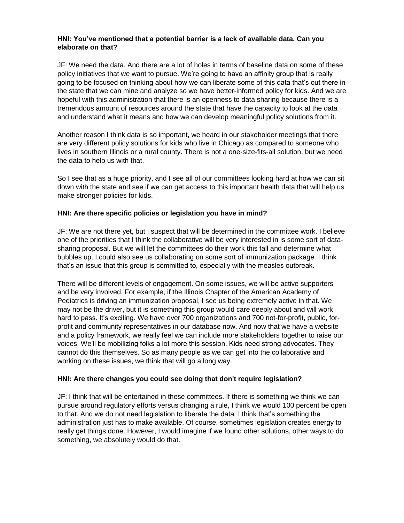#### **HNI: You've mentioned that a potential barrier is a lack of available data. Can you elaborate on that?**

JF: We need the data. And there are a lot of holes in terms of baseline data on some of these policy initiatives that we want to pursue. We're going to have an affinity group that is really going to be focused on thinking about how we can liberate some of this data that's out there in the state that we can mine and analyze so we have better-informed policy for kids. And we are hopeful with this administration that there is an openness to data sharing because there is a tremendous amount of resources around the state that have the capacity to look at the data and understand what it means and how we can develop meaningful policy solutions from it.

Another reason I think data is so important, we heard in our stakeholder meetings that there are very different policy solutions for kids who live in Chicago as compared to someone who lives in southern Illinois or a rural county. There is not a one-size-fits-all solution, but we need the data to help us with that.

So I see that as a huge priority, and I see all of our committees looking hard at how we can sit down with the state and see if we can get access to this important health data that will help us make stronger policies for kids.

#### **HNI: Are there specific policies or legislation you have in mind?**

JF: We are not there yet, but I suspect that will be determined in the committee work. I believe one of the priorities that I think the collaborative will be very interested in is some sort of datasharing proposal. But we will let the committees do their work this fall and determine what bubbles up. I could also see us collaborating on some sort of immunization package. I think that's an issue that this group is committed to, especially with the measles outbreak.

There will be different levels of engagement. On some issues, we will be active supporters and be very involved. For example, if the Illinois Chapter of the American Academy of Pediatrics is driving an immunization proposal, I see us being extremely active in that. We may not be the driver, but it is something this group would care deeply about and will work hard to pass. It's exciting. We have over 700 organizations and 700 not-for-profit, public, forprofit and community representatives in our database now. And now that we have a website and a policy framework, we really feel we can include more stakeholders together to raise our voices. We'll be mobilizing folks a lot more this session. Kids need strong advocates. They cannot do this themselves. So as many people as we can get into the collaborative and working on these issues, we think that will go a long way.

#### **HNI: Are there changes you could see doing that don't require legislation?**

JF: I think that will be entertained in these committees. If there is something we think we can pursue around regulatory efforts versus changing a rule, I think we would 100 percent be open to that. And we do not need legislation to liberate the data. I think that's something the administration just has to make available. Of course, sometimes legislation creates energy to really get things done. However, I would imagine if we found other solutions, other ways to do something, we absolutely would do that.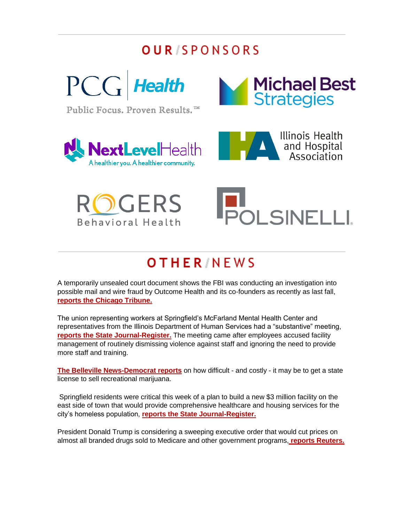## **OUR/SPONSORS**



Public Focus. Proven Results.<sup>™</sup>











# **OTHER/NEWS**

A temporarily unsealed court document shows the FBI was conducting an investigation into possible mail and wire fraud by Outcome Health and its co-founders as recently as last fall, **[reports the Chicago Tribune.](http://r20.rs6.net/tn.jsp?f=001kwe0684505zj6DoGD_Ttqqbs0EbYA8n-ZB1tboF4SOAVpHq53JLmkXL0ftGPVpMJMqsVKb4-09mqO1P2TxvmUjI7e96lTz5lS0RfMWqIoyplv0YY3yPMKD-qeB6hn_FMdX-uYLyUTeFv5CciStwfUdQIVCCrq42cucH38KZEWoYf00EORvRbYOH-3v2x9JQYhgubAE3Dah0HGgCR3q_pyUDiFq0TlSVKctwJDEwcsK-Cm9KjGXF0mWuAEgTiW1DZZ_V9ohNxJIwTIhynAf9_ZDcVOAscyAaY&c=vQkFtlEQiu5J1FcMUxcBTMc80hhIs81im37jMXMzkc5Ru3jJPHfGmA==&ch=PvJFcxcmpJobQwLtC-sRWPBHtUYSFgCHkWr42Iu_WDkdHzbuJ3SsZw==)**

The union representing workers at Springfield's McFarland Mental Health Center and representatives from the Illinois Department of Human Services had a "substantive" meeting, **[reports the State Journal-Register.](http://r20.rs6.net/tn.jsp?f=001kwe0684505zj6DoGD_Ttqqbs0EbYA8n-ZB1tboF4SOAVpHq53JLmkXL0ftGPVpMJ-N_BRWPfVl9lq3chEePAJuAXyty-ljstieW1U2_SybocAUluiMVN-KEaNxDhoCiB0mXATXGFqKdbmTT4vCPWCB4FjIlLGJphHFHo4-MPqYIzhY44aksFDC2S5_5AyHEoscUBSwpnWaniLvAyJKGzQ82AfLPgKieEQDlo-NygDjZL1WapKE3WM4McUOtKbpms&c=vQkFtlEQiu5J1FcMUxcBTMc80hhIs81im37jMXMzkc5Ru3jJPHfGmA==&ch=PvJFcxcmpJobQwLtC-sRWPBHtUYSFgCHkWr42Iu_WDkdHzbuJ3SsZw==)** The meeting came after employees accused facility management of routinely dismissing violence against staff and ignoring the need to provide more staff and training.

**[The Belleville News-Democrat reports](http://r20.rs6.net/tn.jsp?f=001kwe0684505zj6DoGD_Ttqqbs0EbYA8n-ZB1tboF4SOAVpHq53JLmkXL0ftGPVpMJeeCvJggERDDTtOx9zPB0iPmIFIE1XHpilvGJyIDgmiQJWcatudwmi8GiI28kvj7Bswgpt621v_mD7QDxG9YyYtaCIMBrfkPpJnXb4xLiaZ9xZzg-AYQusT-YqEcMoZ9ZGJOOoAufXS4=&c=vQkFtlEQiu5J1FcMUxcBTMc80hhIs81im37jMXMzkc5Ru3jJPHfGmA==&ch=PvJFcxcmpJobQwLtC-sRWPBHtUYSFgCHkWr42Iu_WDkdHzbuJ3SsZw==)** on how difficult - and costly - it may be to get a state license to sell recreational marijuana.

Springfield residents were critical this week of a plan to build a new \$3 million facility on the east side of town that would provide comprehensive healthcare and housing services for the city's homeless population, **[reports the State Journal-Register.](http://r20.rs6.net/tn.jsp?f=001kwe0684505zj6DoGD_Ttqqbs0EbYA8n-ZB1tboF4SOAVpHq53JLmkXL0ftGPVpMJYxJMiWww9iA0SLx3VXiDrkNvm5svizQPYtgdHwwsc9LaMlUnuR4p1gELVuaVVZs0HrnC8WrdvBXc1LhoAmYQvt3rtkBLRcTY0ECrVmGMn5PYXXNQo94_m0IbYpM2NNjCfsakThTmuB8ElMJg17AjLSHSdtI9ZT7p4o0Sa5sPkKKUqdkpuw-StHPuaMWXf5ZwhlHNxDjsXbSERivN0DsAVg==&c=vQkFtlEQiu5J1FcMUxcBTMc80hhIs81im37jMXMzkc5Ru3jJPHfGmA==&ch=PvJFcxcmpJobQwLtC-sRWPBHtUYSFgCHkWr42Iu_WDkdHzbuJ3SsZw==)**

President Donald Trump is considering a sweeping executive order that would cut prices on almost all branded drugs sold to Medicare and other government programs, **[reports Reuters.](http://r20.rs6.net/tn.jsp?f=001kwe0684505zj6DoGD_Ttqqbs0EbYA8n-ZB1tboF4SOAVpHq53JLmkXL0ftGPVpMJfLiPdNeib8zeW0w6b0e6jbm1cNpwl5AuD4A13EZnGIqzPfe1JKAYt5r8GmTzjoXQ_C2LMnRW7qSuo8c5znWoqZf17tPekqpfosGc4i_VkzEFLLah3sT5tMBGeCYIIYkWt3B8WHcB97WRnDYnY42Abb37Hbs_Hlpj-aR4pEl5IPBzL6WsUp6tROazbc38FbPCiHVltyIyD_MWmqEOmXg77iBQOHmBD_gacJnr45MngTyu1Dq3oxubIc4XIBT4VzyfxxSd63l3TyyWvZcoqSVeSM0texYdVL596hXlb5nR0qJ0ibPBGKks31UtXTL5JkzdWKWT7Xm5vIH7ZNQrXGoz2Ir5HwgoEpQbN66uNYyADLXO8yF7tfVgIcwN9n5-eKaCNqb2gSH3SinDvGEhcBn5Zw==&c=vQkFtlEQiu5J1FcMUxcBTMc80hhIs81im37jMXMzkc5Ru3jJPHfGmA==&ch=PvJFcxcmpJobQwLtC-sRWPBHtUYSFgCHkWr42Iu_WDkdHzbuJ3SsZw==)**